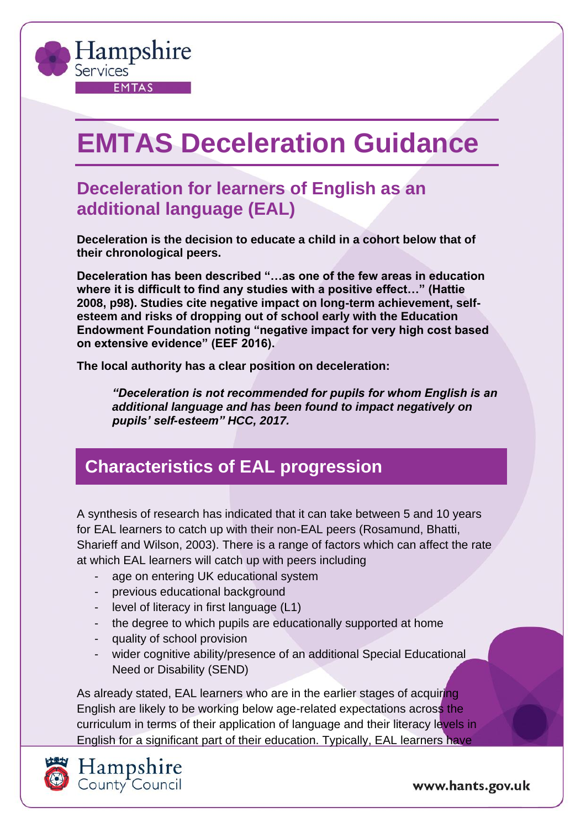

# **EMTAS Deceleration Guidance**

## **Deceleration for learners of English as an additional language (EAL)**

**Deceleration is the decision to educate a child in a cohort below that of their chronological peers.** 

**Deceleration has been described "…as one of the few areas in education where it is difficult to find any studies with a positive effect…" (Hattie 2008, p98). Studies cite negative impact on long-term achievement, selfesteem and risks of dropping out of school early with the Education Endowment Foundation noting "negative impact for very high cost based on extensive evidence" (EEF 2016).** 

**The local authority has a clear position on deceleration:** 

*"Deceleration is not recommended for pupils for whom English is an additional language and has been found to impact negatively on pupils' self-esteem" HCC, 2017.*

## **Characteristics of EAL progression**

A synthesis of research has indicated that it can take between 5 and 10 years for EAL learners to catch up with their non-EAL peers (Rosamund, Bhatti, Sharieff and Wilson, 2003). There is a range of factors which can affect the rate at which EAL learners will catch up with peers including

- age on entering UK educational system
- previous educational background
- level of literacy in first language (L1)
- the degree to which pupils are educationally supported at home
- quality of school provision
- wider cognitive ability/presence of an additional Special Educational Need or Disability (SEND)

As already stated, EAL learners who are in the earlier stages of acquiring English are likely to be working below age-related expectations across the curriculum in terms of their application of language and their literacy levels in English for a significant part of their education. Typically, EAL learners have



Hampshire<br>County Council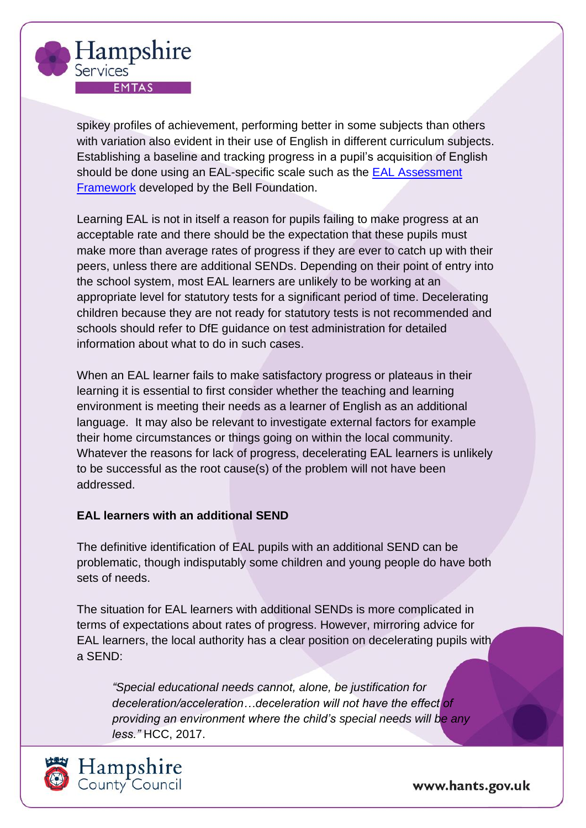

spikey profiles of achievement, performing better in some subjects than others with variation also evident in their use of English in different curriculum subjects. Establishing a baseline and tracking progress in a pupil's acquisition of English should be done using an EAL-specific scale such as the [EAL Assessment](https://www.bell-foundation.org.uk/Work/EALAssessmentFramework/)  [Framework](https://www.bell-foundation.org.uk/Work/EALAssessmentFramework/) developed by the Bell Foundation.

Learning EAL is not in itself a reason for pupils failing to make progress at an acceptable rate and there should be the expectation that these pupils must make more than average rates of progress if they are ever to catch up with their peers, unless there are additional SENDs. Depending on their point of entry into the school system, most EAL learners are unlikely to be working at an appropriate level for statutory tests for a significant period of time. Decelerating children because they are not ready for statutory tests is not recommended and schools should refer to DfE guidance on test administration for detailed information about what to do in such cases.

When an EAL learner fails to make satisfactory progress or plateaus in their learning it is essential to first consider whether the teaching and learning environment is meeting their needs as a learner of English as an additional language. It may also be relevant to investigate external factors for example their home circumstances or things going on within the local community. Whatever the reasons for lack of progress, decelerating EAL learners is unlikely to be successful as the root cause(s) of the problem will not have been addressed.

#### **EAL learners with an additional SEND**

The definitive identification of EAL pupils with an additional SEND can be problematic, though indisputably some children and young people do have both sets of needs.

The situation for EAL learners with additional SENDs is more complicated in terms of expectations about rates of progress. However, mirroring advice for EAL learners, the local authority has a clear position on decelerating pupils with a SEND:

*"Special educational needs cannot, alone, be justification for deceleration/acceleration…deceleration will not have the effect of providing an environment where the child's special needs will be any less."* HCC, 2017.

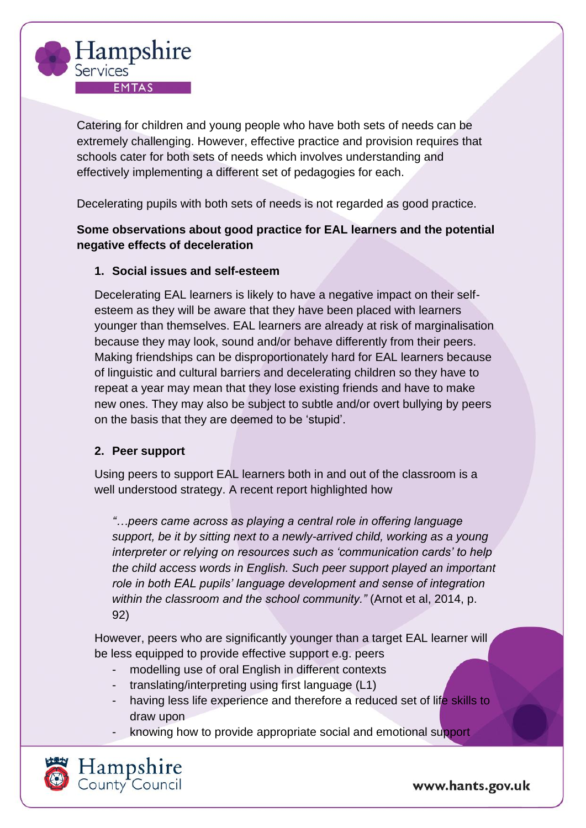

Catering for children and young people who have both sets of needs can be extremely challenging. However, effective practice and provision requires that schools cater for both sets of needs which involves understanding and effectively implementing a different set of pedagogies for each.

Decelerating pupils with both sets of needs is not regarded as good practice.

#### **Some observations about good practice for EAL learners and the potential negative effects of deceleration**

#### **1. Social issues and self-esteem**

Decelerating EAL learners is likely to have a negative impact on their selfesteem as they will be aware that they have been placed with learners younger than themselves. EAL learners are already at risk of marginalisation because they may look, sound and/or behave differently from their peers. Making friendships can be disproportionately hard for EAL learners because of linguistic and cultural barriers and decelerating children so they have to repeat a year may mean that they lose existing friends and have to make new ones. They may also be subject to subtle and/or overt bullying by peers on the basis that they are deemed to be 'stupid'.

#### **2. Peer support**

Using peers to support EAL learners both in and out of the classroom is a well understood strategy. A recent report highlighted how

*"…peers came across as playing a central role in offering language support, be it by sitting next to a newly-arrived child, working as a young interpreter or relying on resources such as 'communication cards' to help the child access words in English. Such peer support played an important role in both EAL pupils' language development and sense of integration within the classroom and the school community."* (Arnot et al, 2014, p. 92)

However, peers who are significantly younger than a target EAL learner will be less equipped to provide effective support e.g. peers

- modelling use of oral English in different contexts
- translating/interpreting using first language (L1)
- having less life experience and therefore a reduced set of life skills to draw upon
- knowing how to provide appropriate social and emotional support

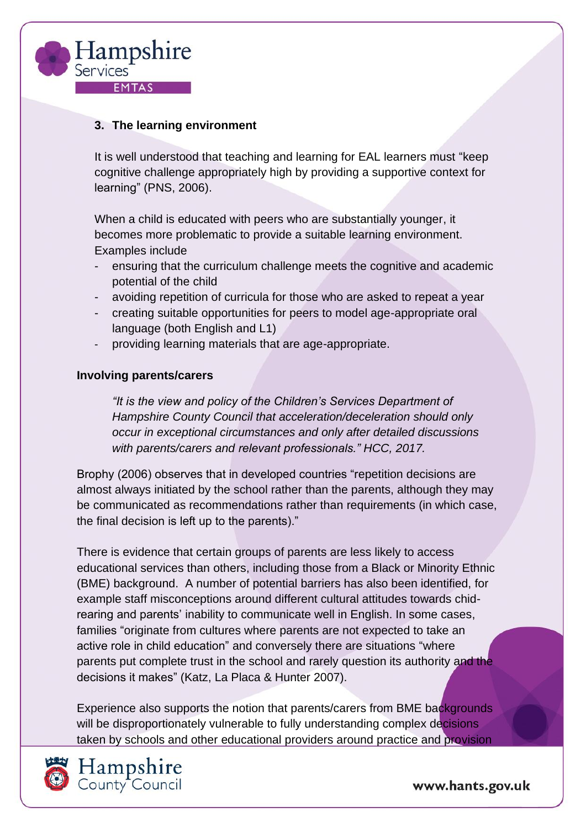

#### **3. The learning environment**

It is well understood that teaching and learning for EAL learners must "keep cognitive challenge appropriately high by providing a supportive context for learning" (PNS, 2006).

When a child is educated with peers who are substantially younger, it becomes more problematic to provide a suitable learning environment. Examples include

- ensuring that the curriculum challenge meets the cognitive and academic potential of the child
- avoiding repetition of curricula for those who are asked to repeat a year
- creating suitable opportunities for peers to model age-appropriate oral language (both English and L1)
- providing learning materials that are age-appropriate.

#### **Involving parents/carers**

*"It is the view and policy of the Children's Services Department of Hampshire County Council that acceleration/deceleration should only occur in exceptional circumstances and only after detailed discussions with parents/carers and relevant professionals." HCC, 2017.*

Brophy (2006) observes that in developed countries "repetition decisions are almost always initiated by the school rather than the parents, although they may be communicated as recommendations rather than requirements (in which case, the final decision is left up to the parents)."

There is evidence that certain groups of parents are less likely to access educational services than others, including those from a Black or Minority Ethnic (BME) background. A number of potential barriers has also been identified, for example staff misconceptions around different cultural attitudes towards chidrearing and parents' inability to communicate well in English. In some cases, families "originate from cultures where parents are not expected to take an active role in child education" and conversely there are situations "where parents put complete trust in the school and rarely question its authority and the decisions it makes" (Katz, La Placa & Hunter 2007).

Experience also supports the notion that parents/carers from BME backgrounds will be disproportionately vulnerable to fully understanding complex decisions taken by schools and other educational providers around practice and provision



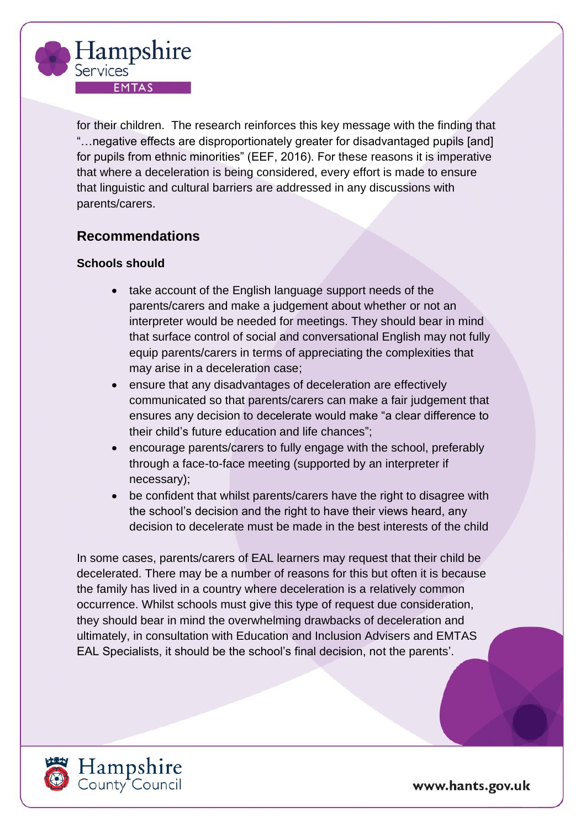

for their children. The research reinforces this key message with the finding that "…negative effects are disproportionately greater for disadvantaged pupils [and] for pupils from ethnic minorities" (EEF, 2016). For these reasons it is imperative that where a deceleration is being considered, every effort is made to ensure that linguistic and cultural barriers are addressed in any discussions with parents/carers.

#### **Recommendations**

#### **Schools should**

- take account of the English language support needs of the parents/carers and make a judgement about whether or not an interpreter would be needed for meetings. They should bear in mind that surface control of social and conversational English may not fully equip parents/carers in terms of appreciating the complexities that may arise in a deceleration case;
- ensure that any disadvantages of deceleration are effectively communicated so that parents/carers can make a fair judgement that ensures any decision to decelerate would make "a clear difference to their child's future education and life chances";
- encourage parents/carers to fully engage with the school, preferably through a face-to-face meeting (supported by an interpreter if necessary);
- be confident that whilst parents/carers have the right to disagree with the school's decision and the right to have their views heard, any decision to decelerate must be made in the best interests of the child

In some cases, parents/carers of EAL learners may request that their child be decelerated. There may be a number of reasons for this but often it is because the family has lived in a country where deceleration is a relatively common occurrence. Whilst schools must give this type of request due consideration, they should bear in mind the overwhelming drawbacks of deceleration and ultimately, in consultation with Education and Inclusion Advisers and EMTAS EAL Specialists, it should be the school's final decision, not the parents'.

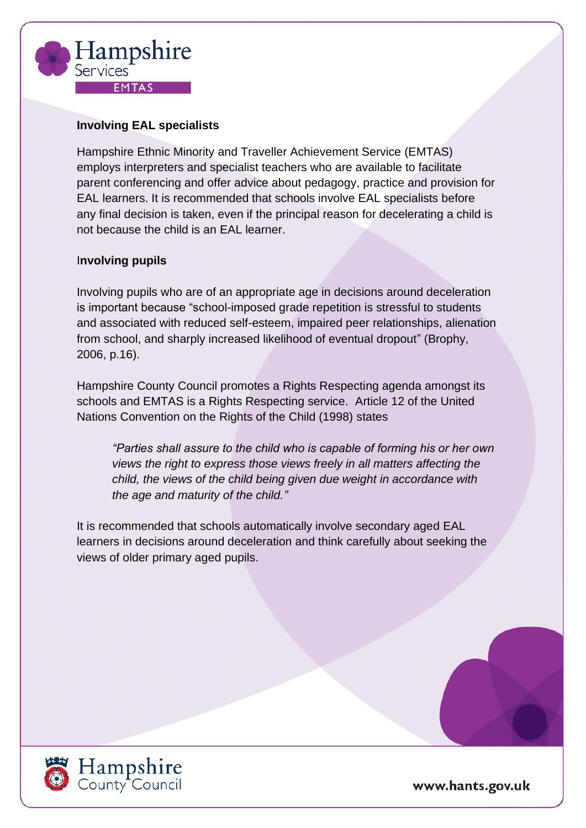

#### **Involving EAL specialists**

Hampshire Ethnic Minority and Traveller Achievement Service (EMTAS) employs interpreters and specialist teachers who are available to facilitate parent conferencing and offer advice about pedagogy, practice and provision for EAL learners. It is recommended that schools involve EAL specialists before any final decision is taken, even if the principal reason for decelerating a child is not because the child is an EAL learner.

#### I**nvolving pupils**

Involving pupils who are of an appropriate age in decisions around deceleration is important because "school-imposed grade repetition is stressful to students and associated with reduced self-esteem, impaired peer relationships, alienation from school, and sharply increased likelihood of eventual dropout" (Brophy, 2006, p.16).

Hampshire County Council promotes a Rights Respecting agenda amongst its schools and EMTAS is a Rights Respecting service. Article 12 of the United Nations Convention on the Rights of the Child (1998) states

*"Parties shall assure to the child who is capable of forming his or her own views the right to express those views freely in all matters affecting the child, the views of the child being given due weight in accordance with the age and maturity of the child."*

It is recommended that schools automatically involve secondary aged EAL learners in decisions around deceleration and think carefully about seeking the views of older primary aged pupils.